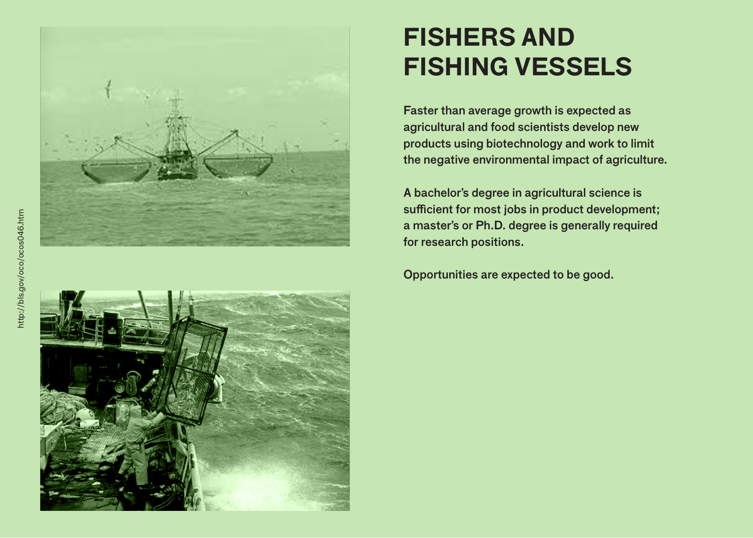



# **FISHERS AND FISHING VESSELS**

Faster than average growth is expected as agricultural and food scientists develop new products using biotechnology and work to limit the negative environmental impact of agriculture.

A bachelor's degree in agricultural science is sufficient for most jobs in product development; a master's or Ph.D. degree is generally required for research positions.

Opportunities are expected to be good.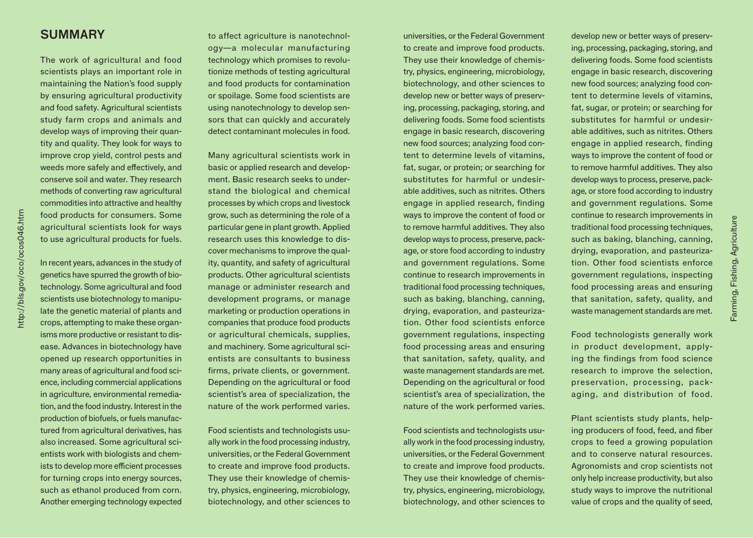#### SUMMARY

http://bls.gov/oco/ocos046.htm

nttp://bls.gov/oco/ocos046.htm

The work of agricultural and food scientists plays an important role in maintaining the Nation's food supply by ensuring agricultural productivity and food safety. Agricultural scientists study farm crops and animals and develop ways of improving their quantity and quality. They look for ways to improve crop yield, control pests and weeds more safely and effectively, and conserve soil and water. They research methods of converting raw agricultural commodities into attractive and healthy food products for consumers. Some agricultural scientists look for ways to use agricultural products for fuels.

In recent years, advances in the study of genetics have spurred the growth of biotechnology. Some agricultural and food scientists use biotechnology to manipulate the genetic material of plants and crops, attempting to make these organisms more productive or resistant to disease. Advances in biotechnology have opened up research opportunities in many areas of agricultural and food science, including commercial applications in agriculture, environmental remediation, and the food industry. Interest in the production of biofuels, or fuels manufactured from agricultural derivatives, has also increased. Some agricultural scientists work with biologists and chemists to develop more efficient processes for turning crops into energy sources, such as ethanol produced from corn. Another emerging technology expected

to affect agriculture is nanotechnology—a molecular manufacturing technology which promises to revolutionize methods of testing agricultural and food products for contamination or spoilage. Some food scientists are using nanotechnology to develop sensors that can quickly and accurately detect contaminant molecules in food.

Many agricultural scientists work in basic or applied research and development. Basic research seeks to understand the biological and chemical processes by which crops and livestock grow, such as determining the role of a particular gene in plant growth. Applied research uses this knowledge to discover mechanisms to improve the quality, quantity, and safety of agricultural products. Other agricultural scientists manage or administer research and development programs, or manage marketing or production operations in companies that produce food products or agricultural chemicals, supplies, and machinery. Some agricultural scientists are consultants to business firms, private clients, or government. Depending on the agricultural or food scientist's area of specialization, the nature of the work performed varies.

Food scientists and technologists usually work in the food processing industry, universities, or the Federal Government to create and improve food products. They use their knowledge of chemistry, physics, engineering, microbiology, biotechnology, and other sciences to

universities, or the Federal Government to create and improve food products. They use their knowledge of chemistry, physics, engineering, microbiology, biotechnology, and other sciences to develop new or better ways of preserving, processing, packaging, storing, and delivering foods. Some food scientists engage in basic research, discovering new food sources; analyzing food content to determine levels of vitamins, fat, sugar, or protein; or searching for substitutes for harmful or undesirable additives, such as nitrites. Others engage in applied research, finding ways to improve the content of food or to remove harmful additives. They also develop ways to process, preserve, package, or store food according to industry and government regulations. Some continue to research improvements in traditional food processing techniques, such as baking, blanching, canning, drying, evaporation, and pasteurization. Other food scientists enforce government regulations, inspecting food processing areas and ensuring that sanitation, safety, quality, and waste management standards are met. Depending on the agricultural or food scientist's area of specialization, the nature of the work performed varies.

Food scientists and technologists usually work in the food processing industry, universities, or the Federal Government to create and improve food products. They use their knowledge of chemistry, physics, engineering, microbiology, biotechnology, and other sciences to

develop new or better ways of preserving, processing, packaging, storing, and delivering foods. Some food scientists engage in basic research, discovering new food sources; analyzing food content to determine levels of vitamins, fat, sugar, or protein; or searching for substitutes for harmful or undesirable additives, such as nitrites. Others engage in applied research, finding ways to improve the content of food or to remove harmful additives. They also develop ways to process, preserve, package, or store food according to industry and government regulations. Some continue to research improvements in traditional food processing techniques, such as baking, blanching, canning, drying, evaporation, and pasteurization. Other food scientists enforce government regulations, inspecting food processing areas and ensuring that sanitation, safety, quality, and waste management standards are met.

Food technologists generally work in product development, applying the findings from food science research to improve the selection, preservation, processing, packaging, and distribution of food.

Plant scientists study plants, helping producers of food, feed, and fiber crops to feed a growing population and to conserve natural resources. Agronomists and crop scientists not only help increase productivity, but also study ways to improve the nutritional value of crops and the quality of seed,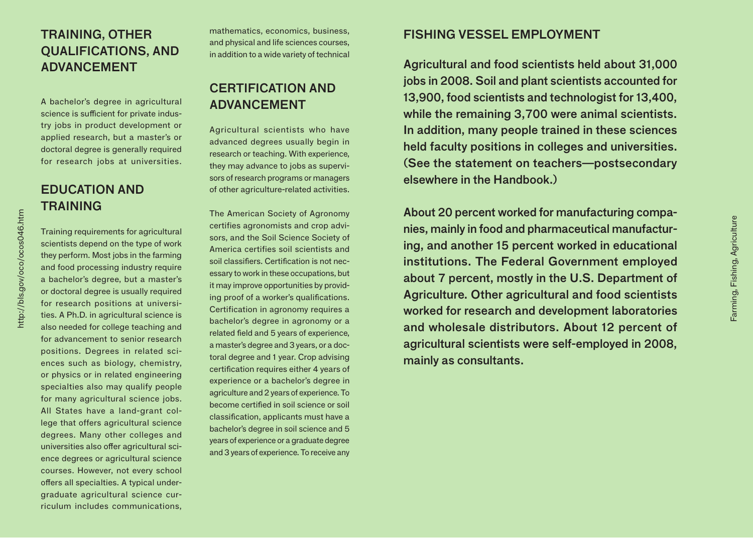## TRAINING, OTHER QUALIFICATIONS, AND ADVANCEMENT

A bachelor's degree in agricultural science is sufficient for private indus try jobs in product development or applied research, but a master's or doctoral degree is generally required for research jobs at universities.

### EDUCATION AND **TRAINING**

http://bls.gov/oco/ocos046.htm

nttp://bls.gov/oco/ocos046.htm

Training requirements for agricultural scientists depend on the type of work they perform. Most jobs in the farming and food processing industry require a bachelor's degree, but a master's or doctoral degree is usually required for research positions at universi ties. A Ph.D. in agricultural science is also needed for college teaching and for advancement to senior research positions. Degrees in related sci ences such as biology, chemistry, or physics or in related engineering specialties also may qualify people for many agricultural science jobs. All States have a land-grant col lege that offers agricultural science degrees. Many other colleges and universities also offer agricultural sci ence degrees or agricultural science courses. However, not every school offers all specialties. A typical under graduate agricultural science cur riculum includes communications,

mathematics, economics, business, and physical and life sciences courses, in addition to a wide variety of technical

#### CERTIFICATION AND ADVANCEMENT

Agricultural scientists who have advanced degrees usually begin in research or teaching. With experience, they may advance to jobs as supervi sors of research programs or managers of other agriculture-related activities.

The American Society of Agronomy certifies agronomists and crop advi sors, and the Soil Science Society of America certifies soil scientists and soil classifiers. Certification is not nec essary to work in these occupations, but it may improve opportunities by provid ing proof of a worker's qualifications. Certification in agronomy requires a bachelor's degree in agronomy or a related field and 5 years of experience, a master's degree and 3 years, or a doc toral degree and 1 year. Crop advising certification requires either 4 years of experience or a bachelor's degree in agriculture and 2 years of experience. To become certified in soil science or soil classification, applicants must have a bachelor's degree in soil science and 5 years of experience or a graduate degree and 3 years of experience. To receive any

#### FISHING VESSEL EMPLOYMENT

Agricultural and food scientists held about 31,000 jobs in 2008. Soil and plant scientists accounted for 13,900, food scientists and technologist for 13,400, while the remaining 3,700 were animal scientists. In addition, many people trained in these sciences held faculty positions in colleges and universities. (See the statement on teachers—postsecondary elsewhere in the Handbook.)

About 20 percent worked for manufacturing compa nies, mainly in food and pharmaceutical manufactur ing, and another 15 percent worked in educational institutions. The Federal Government employed about 7 percent, mostly in the U.S. Department of Agriculture. Other agricultural and food scientists worked for research and development laboratories and wholesale distributors. About 12 percent of agricultural scientists were self-employed in 2008, mainly as consultants.